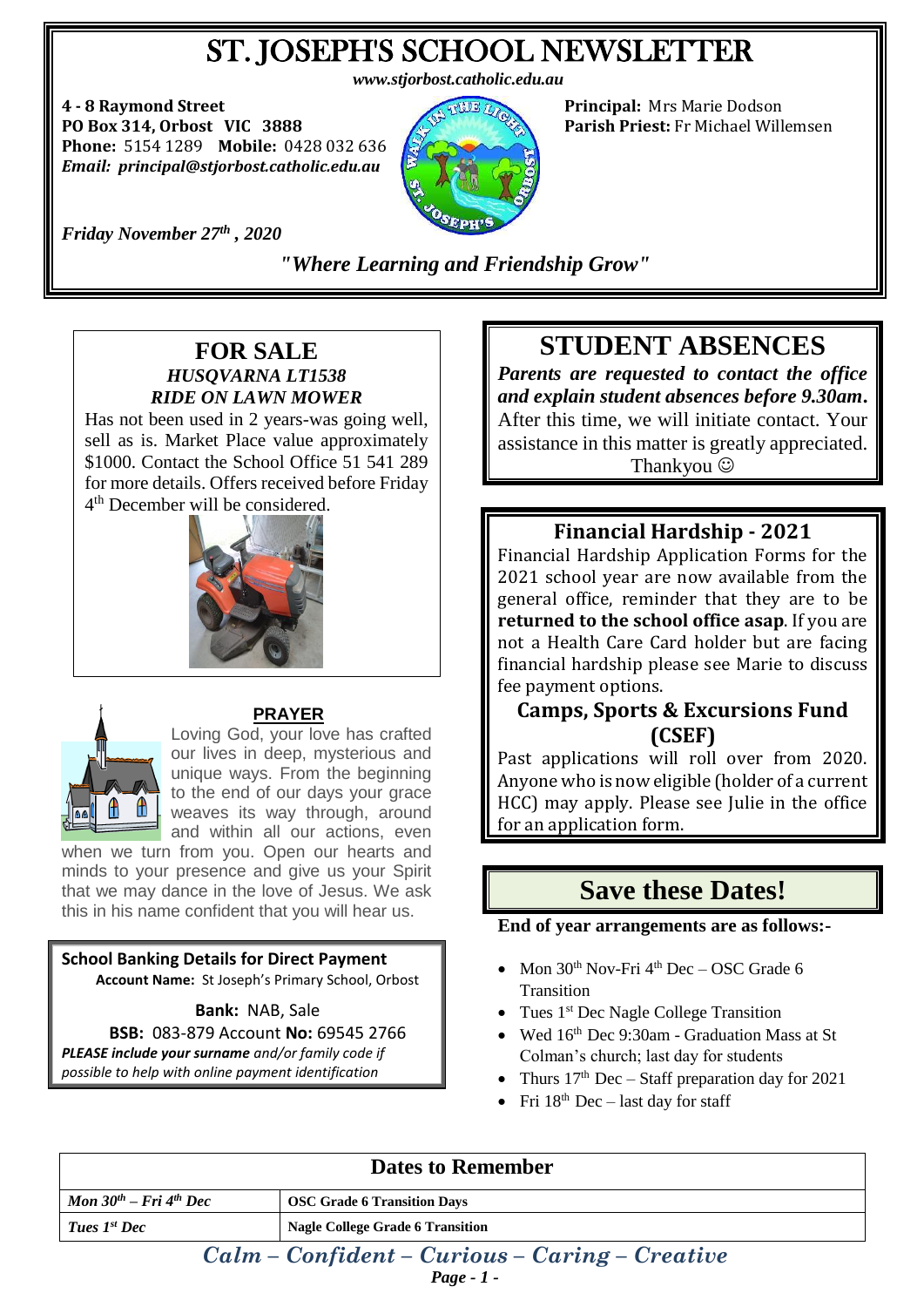# ST. JOSEPH'S SCHOOL NEWSLETTER

*www.stjorbost.catholic.edu.au*

**4 - 8 Raymond Street Principal:** Mrs Marie Dodson **PO Box 314, Orbost VIC 3888 Parish Priest:** Fr Michael Willemsen **Phone:** 5154 1289 **Mobile:** 0428 032 636 *Email: principal@stjorbost.catholic.edu.au*



*Friday November 27 th , 2020*

*"Where Learning and Friendship Grow"*

#### **FOR SALE** *HUSQVARNA LT1538 RIDE ON LAWN MOWER*

Has not been used in 2 years-was going well, sell as is. Market Place value approximately \$1000. Contact the School Office 51 541 289 for more details. Offers received before Friday 4<sup>th</sup> December will be considered.





#### **PRAYER**

Loving God, your love has crafted our lives in deep, mysterious and unique ways. From the beginning to the end of our days your grace weaves its way through, around and within all our actions, even

when we turn from you. Open our hearts and minds to your presence and give us your Spirit that we may dance in the love of Jesus. We ask this in his name confident that you will hear us.

### **School Banking Details for Direct Payment**

**Account Name:** St Joseph's Primary School, Orbost

**Bank:** NAB, Sale

**BSB:** 083-879 Account **No:** 69545 2766 *PLEASE include your surname and/or family code if possible to help with online payment identification*

# **STUDENT ABSENCES**

*Parents are requested to contact the office and explain student absences before 9.30am***.** After this time, we will initiate contact. Your assistance in this matter is greatly appreciated. Thankyou  $\odot$ 

### **Financial Hardship - 2021**

Financial Hardship Application Forms for the 2021 school year are now available from the general office, reminder that they are to be **returned to the school office asap**. If you are not a Health Care Card holder but are facing financial hardship please see Marie to discuss fee payment options.

#### **Camps, Sports & Excursions Fund (CSEF)**

Past applications will roll over from 2020. Anyone who is now eligible (holder of a current HCC) may apply. Please see Julie in the office for an application form.

## **Save these Dates!**

**End of year arrangements are as follows:-**

- Mon  $30<sup>th</sup>$  Nov-Fri  $4<sup>th</sup>$  Dec OSC Grade 6 **Transition**
- Tues  $1<sup>st</sup>$  Dec Nagle College Transition
- Wed 16<sup>th</sup> Dec 9:30am Graduation Mass at St Colman's church; last day for students
- Thurs  $17<sup>th</sup>$  Dec Staff preparation day for 2021
- Fri  $18^{th}$  Dec last day for staff

| <b>Dates to Remember</b>                         |                                         |
|--------------------------------------------------|-----------------------------------------|
| Mon $30^{th}$ – Fri $4^{th}$ Dec                 | <b>OSC Grade 6 Transition Days</b>      |
| Tues 1 <sup>st</sup> Dec                         | <b>Nagle College Grade 6 Transition</b> |
| $Calm - Confident - Curious - Caring - Creative$ |                                         |

*Page - 1 -*